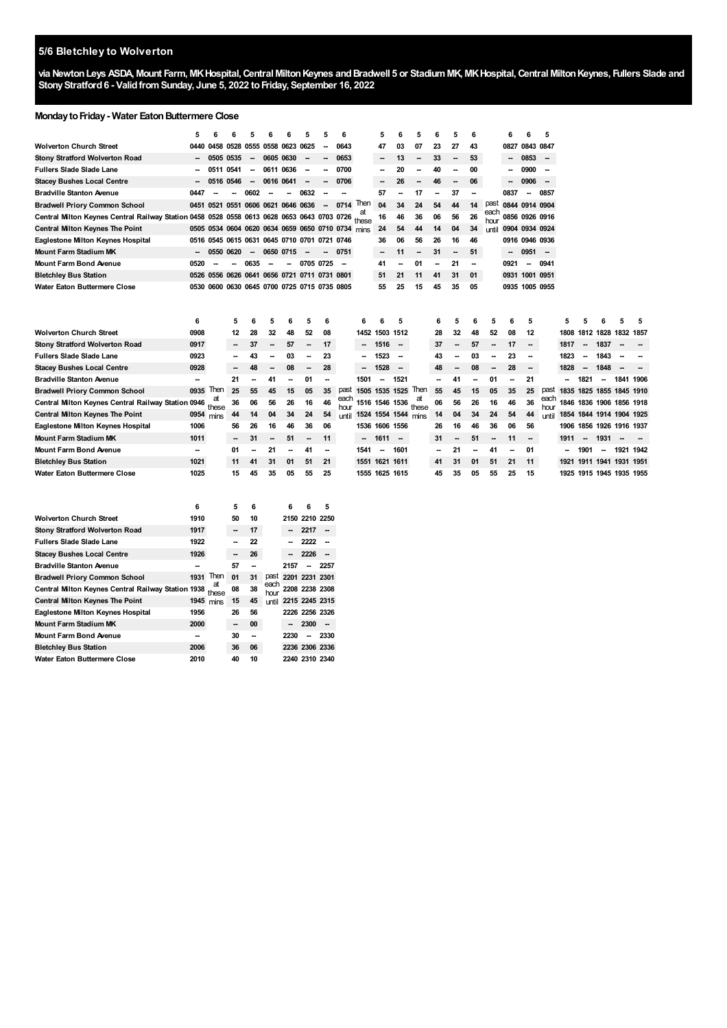## **5/6 Bletchley to Wolverton**

via Newton Leys ASDA, Mount Farm, MK Hospital, Central Milton Keynes and Bradwell 5 or Stadium MK, MK Hospital, Central Milton Keynes, Fullers Slade and **StonyStratford6 - ValidfromSunday, June 5, 2022 toFriday, September 16, 2022**

### **Monday to Friday - Water Eaton Buttermere Close**

|                                                                                                  | 5         |                          |                                                   |                          |           |                          |                          |        | 6                        |                          | 5                        |                          | 5                         | 6  | 5                        | 6  |              | 6                        |                          | 5                        |      |      |                          |                          |                          |
|--------------------------------------------------------------------------------------------------|-----------|--------------------------|---------------------------------------------------|--------------------------|-----------|--------------------------|--------------------------|--------|--------------------------|--------------------------|--------------------------|--------------------------|---------------------------|----|--------------------------|----|--------------|--------------------------|--------------------------|--------------------------|------|------|--------------------------|--------------------------|--------------------------|
| <b>Wolverton Church Street</b>                                                                   | 0440      |                          | 0458 0528                                         | 0555 0558 0623 0625      |           |                          |                          |        | 0643                     |                          | 47                       | 03                       | 07                        | 23 | 27                       | 43 |              | 0827                     | 0843 0847                |                          |      |      |                          |                          |                          |
| <b>Stony Stratford Wolverton Road</b>                                                            |           | 0505                     | 0535                                              | $\overline{\phantom{a}}$ | 0605 0630 |                          | --                       | −−     | 0653                     |                          | $\overline{\phantom{a}}$ | 13                       | ۰.                        | 33 | --                       | 53 |              | --                       | 0853                     | $\sim$                   |      |      |                          |                          |                          |
| <b>Fullers Slade Slade Lane</b>                                                                  |           |                          | 0511 0541                                         | $\overline{\phantom{a}}$ | 0611 0636 |                          | --                       | --     | 0700                     |                          | $\overline{\phantom{a}}$ | 20                       |                           | 40 | --                       | 00 |              | --                       | 0900                     | -                        |      |      |                          |                          |                          |
| <b>Stacey Bushes Local Centre</b>                                                                |           |                          | 0516 0546                                         | $\overline{\phantom{a}}$ | 0616 0641 |                          | --                       | ۰.     | 0706                     |                          | $\overline{\phantom{a}}$ | 26                       | н.                        | 46 | $\overline{\phantom{a}}$ | 06 |              | $\overline{\phantom{a}}$ | 0906                     | $\overline{\phantom{a}}$ |      |      |                          |                          |                          |
| <b>Bradville Stanton Avenue</b>                                                                  | 0447      |                          |                                                   | 0602                     |           |                          | 0632                     |        |                          |                          | 57                       |                          | 17                        |    | 37                       |    |              | 0837                     |                          | 0857                     |      |      |                          |                          |                          |
| <b>Bradwell Priory Common School</b>                                                             | 0451      | 0521                     | 0551 0606 0621 0646 0636                          |                          |           |                          |                          | $\sim$ | $0714$ Then              |                          | 04                       | 34                       | 24                        | 54 | 44                       | 14 | past         | 0844 0914 0904           |                          |                          |      |      |                          |                          |                          |
| Central Milton Keynes Central Railway Station 0458 0528 0558 0613 0628 0653 0643 0703 0726 these |           |                          |                                                   |                          |           |                          |                          |        |                          |                          | 16                       | 46                       | 36                        | 06 | 56                       | 26 | each<br>hour | 0856 0926 0916           |                          |                          |      |      |                          |                          |                          |
| <b>Central Milton Keynes The Point</b>                                                           |           |                          | 0505 0534 0604 0620 0634 0659 0650 0710 0734 mins |                          |           |                          |                          |        |                          |                          | 24                       | 54                       | 44                        | 14 | 04                       | 34 | until        | 0904 0934 0924           |                          |                          |      |      |                          |                          |                          |
| Eaglestone Milton Keynes Hospital                                                                |           |                          | 0516 0545 0615 0631 0645 0710 0701 0721 0746      |                          |           |                          |                          |        |                          |                          | 36                       | 06                       | 56                        | 26 | 16                       | 46 |              |                          | 0916 0946 0936           |                          |      |      |                          |                          |                          |
| <b>Mount Farm Stadium MK</b>                                                                     |           |                          | 0550 0620                                         | $\overline{\phantom{a}}$ | 0650 0715 |                          | --                       |        | 0751                     |                          | $\overline{\phantom{a}}$ | 11                       | н.                        | 31 | --                       | 51 |              |                          | $0951 -$                 |                          |      |      |                          |                          |                          |
| Mount Farm Bond Avenue                                                                           | 0520      | $\overline{\phantom{a}}$ |                                                   | 0635                     | --        |                          | 0705 0725                |        | $\overline{\phantom{a}}$ |                          | 41                       |                          | 01                        | -- | 21                       | -- |              | 0921                     | $\sim$                   | 0941                     |      |      |                          |                          |                          |
| <b>Bletchley Bus Station</b>                                                                     | 0526      |                          | 0556 0626 0641 0656 0721 0711 0731 0801           |                          |           |                          |                          |        |                          |                          | 51                       | 21                       | 11                        | 41 | 31                       | 01 |              | 0931 1001 0951           |                          |                          |      |      |                          |                          |                          |
| Water Eaton Buttermere Close                                                                     |           |                          | 0530 0600 0630 0645 0700 0725 0715 0735 0805      |                          |           |                          |                          |        |                          |                          | 55                       | 25                       | 15                        | 45 | 35                       | 05 |              |                          | 0935 1005 0955           |                          |      |      |                          |                          |                          |
|                                                                                                  |           |                          |                                                   |                          |           |                          |                          |        |                          |                          |                          |                          |                           |    |                          |    |              |                          |                          |                          |      |      |                          |                          |                          |
|                                                                                                  |           |                          |                                                   |                          |           |                          |                          |        |                          |                          |                          |                          |                           |    |                          |    |              |                          |                          |                          |      |      |                          |                          |                          |
|                                                                                                  | 6         |                          | 5                                                 | 6                        | 5         | 6                        | 5                        | 6      |                          | 6                        |                          | 5                        |                           | 6  | 5                        |    | 5            |                          | 5                        |                          | 5    |      |                          | 5                        | 5                        |
| <b>Wolverton Church Street</b>                                                                   | 0908      |                          | 12                                                | 28                       | 32        | 48                       | 52                       | 08     |                          |                          | 1452 1503 1512           |                          |                           | 28 | 32                       | 48 | 52           | 08                       | 12                       |                          | 1808 |      | 1812 1828 1832 1857      |                          |                          |
| <b>Stony Stratford Wolverton Road</b>                                                            | 0917      |                          | $\overline{\phantom{a}}$                          | 37                       |           | 57                       | $\overline{\phantom{a}}$ | 17     |                          |                          | 1516                     | $\sim$                   |                           | 37 | --                       | 57 | -            | 17                       | --                       |                          | 1817 |      | 1837                     |                          |                          |
| <b>Fullers Slade Slade Lane</b>                                                                  | 0923      |                          | $\overline{\phantom{a}}$                          | 43                       |           | 03                       |                          | 23     |                          |                          | 1523                     | --                       |                           | 43 |                          | 03 |              | 23                       | --                       |                          | 1823 |      | 1843                     |                          |                          |
| <b>Stacey Bushes Local Centre</b>                                                                | 0928      |                          |                                                   |                          |           | 08                       |                          | 28     |                          |                          | 1528                     | $\overline{\phantom{a}}$ |                           | 48 |                          | 08 |              | 28                       | --                       |                          | 1828 |      | 1848                     |                          |                          |
| <b>Bradville Stanton Avenue</b>                                                                  | --        |                          | 21                                                |                          | 41        | --                       | 01                       | -      |                          | 1501                     | $\overline{\phantom{a}}$ | 1521                     |                           | -- | 41                       |    | 01           |                          | 21                       |                          | --   | 1821 | $\sim$                   |                          | 1841 1906                |
| <b>Bradwell Priory Common School</b>                                                             | 0935      | Then<br>at               | 25                                                | 55                       | 45        | 15                       | 05                       | 35     |                          | past 1505 1535 1525 Then |                          |                          |                           | 55 | 45                       | 15 | 05           | 35                       | 25                       | past                     |      |      | 1835 1825 1855 1845 1910 |                          |                          |
| Central Milton Keynes Central Railway Station 0946                                               |           | these                    | 36                                                | 06                       | 56        | 26                       | 16                       | 46     | each<br>hour             |                          | 1516 1546 1536           |                          | these                     | 06 | 56                       | 26 | 16           | 46                       | 36                       | each<br>hour             |      |      | 1846 1836 1906 1856 1918 |                          |                          |
|                                                                                                  |           |                          |                                                   |                          |           |                          |                          |        |                          |                          |                          |                          | until 1524 1554 1544 mins | 14 | 04                       |    |              |                          |                          |                          |      |      |                          |                          | 1854 1844 1914 1904 1925 |
| <b>Central Milton Keynes The Point</b>                                                           | 0954 mins |                          | 44                                                | 14                       | 04        | 34                       | 24                       | 54     |                          |                          |                          |                          |                           |    |                          | 34 | 24           | 54                       | 44                       | until                    |      |      |                          |                          |                          |
| <b>Eaglestone Milton Keynes Hospital</b>                                                         | 1006      |                          | 56                                                | 26                       | 16        | 46                       | 36                       | 06     |                          |                          | 1536 1606 1556           |                          |                           | 26 | 16                       | 46 | 36           | 06                       | 56                       |                          |      |      | 1906 1856 1926 1916 1937 |                          |                          |
| Mount Farm Stadium MK                                                                            | 1011      |                          | $\overline{\phantom{a}}$                          | 31                       | --        | 51                       | $\overline{\phantom{a}}$ | 11     |                          | $\sim$                   | $1611 -$                 |                          |                           | 31 | $\overline{\phantom{a}}$ | 51 | -            | 11                       | $\overline{\phantom{a}}$ |                          | 1911 |      | $- 1931$                 | $\overline{\phantom{a}}$ |                          |
| <b>Mount Farm Bond Avenue</b>                                                                    | --        |                          | 01                                                |                          | 21        | $\overline{\phantom{a}}$ | 41                       | --     |                          | 1541                     | -                        | 1601                     |                           | -- | 21                       |    | 41           |                          | 01                       |                          | --   | 1901 | $\sim$                   |                          | 1921 1942                |
| <b>Bletchley Bus Station</b>                                                                     | 1021      |                          | 11                                                | 41                       | 31        | 01                       | 51                       | 21     |                          |                          | 1551 1621 1611           |                          |                           | 41 | 31                       | 01 | 51           | 21                       | 11                       |                          |      |      | 1921 1911 1941 1931 1951 |                          |                          |
| Water Eaton Buttermere Close                                                                     | 1025      |                          | 15                                                | 45                       | 35        | 05                       | 55                       | 25     |                          |                          | 1555 1625 1615           |                          |                           | 45 | 35                       | 05 | 55           | 25                       | 15                       |                          |      |      | 1925 1915 1945 1935 1955 |                          |                          |

|                                                    | 6    |             | 5  | 6  |              | 6                   | 6              | 5              |
|----------------------------------------------------|------|-------------|----|----|--------------|---------------------|----------------|----------------|
| <b>Wolverton Church Street</b>                     | 1910 |             | 50 | 10 |              |                     | 2150 2210 2250 |                |
| <b>Stony Stratford Wolverton Road</b>              | 1917 |             | -- | 17 |              |                     | 2217           |                |
| <b>Fullers Slade Slade Lane</b>                    | 1922 |             |    | 22 |              |                     | 2222           |                |
| <b>Stacey Bushes Local Centre</b>                  | 1926 |             | -- | 26 |              |                     | 2226           |                |
| <b>Bradville Stanton Avenue</b>                    |      |             | 57 | -- |              | 2157                |                | 2257           |
| <b>Bradwell Priory Common School</b>               | 1931 | Then        | 01 | 31 |              | past 2201 2231 2301 |                |                |
| Central Milton Keynes Central Railway Station 1938 |      | at<br>these | 08 | 38 | each<br>hour |                     | 2208 2238 2308 |                |
| <b>Central Milton Keynes The Point</b>             | 1945 | mins        | 15 | 45 | until        |                     |                | 2215 2245 2315 |
| Eaglestone Milton Keynes Hospital                  | 1956 |             | 26 | 56 |              |                     | 2226 2256 2326 |                |
| <b>Mount Farm Stadium MK</b>                       | 2000 |             | -- | 00 |              |                     | 2300           | --             |
| <b>Mount Farm Bond Avenue</b>                      | --   |             | 30 | -- |              | 2230                |                | 2330           |
| <b>Bletchley Bus Station</b>                       | 2006 |             | 36 | 06 |              |                     |                | 2236 2306 2336 |
| Water Eaton Buttermere Close                       | 2010 |             | 40 | 10 |              |                     |                | 2240 2310 2340 |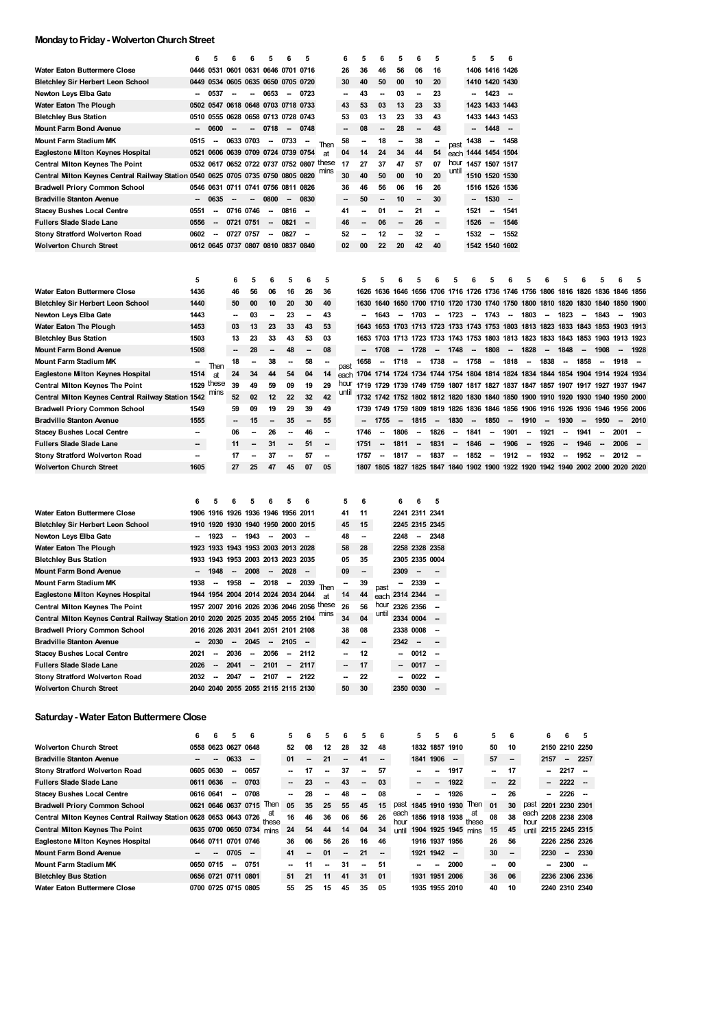## **MondaytoFriday- WolvertonChurchStreet**

|                                                    | 6         | 5                        | 6         | 6                        | 5                        | 6                                  | 5                                        |         | 6            | 5         | 6                        | 5                        | 6                        | 5       |                          | 5                        | 5                        | 6                        |                          |                          |                          |                          |                              |                                                                                 |          |
|----------------------------------------------------|-----------|--------------------------|-----------|--------------------------|--------------------------|------------------------------------|------------------------------------------|---------|--------------|-----------|--------------------------|--------------------------|--------------------------|---------|--------------------------|--------------------------|--------------------------|--------------------------|--------------------------|--------------------------|--------------------------|--------------------------|------------------------------|---------------------------------------------------------------------------------|----------|
| Water Eaton Buttermere Close                       |           |                          |           |                          |                          | 0446 0531 0601 0631 0646 0701 0716 |                                          |         | 26           | 36        | 46                       | 56                       | 06                       | 16      |                          |                          | 1406 1416 1426           |                          |                          |                          |                          |                          |                              |                                                                                 |          |
| Bletchley Sir Herbert Leon School                  |           |                          |           |                          |                          | 0449 0534 0605 0635 0650 0705 0720 |                                          |         | 30           | 40        | 50                       | 00                       | 10                       | 20      |                          |                          | 1410 1420 1430           |                          |                          |                          |                          |                          |                              |                                                                                 |          |
| Newton Leys Elba Gate                              | -         | 0537                     |           | -                        | 0653                     | $\overline{\phantom{a}}$           | 0723                                     |         | -            | 43        | --                       | 03                       | --                       | 23      |                          | $\overline{\phantom{a}}$ | 1423                     | $\sim$                   |                          |                          |                          |                          |                              |                                                                                 |          |
| Water Eaton The Plough                             |           |                          |           |                          |                          | 0502 0547 0618 0648 0703 0718 0733 |                                          |         | 43           | 53        | 03                       | 13                       | 23                       | 33      |                          |                          | 1423 1433 1443           |                          |                          |                          |                          |                          |                              |                                                                                 |          |
| <b>Bletchley Bus Station</b>                       |           | 0510 0555                | 0628      |                          |                          | 0658 0713 0728 0743                |                                          |         | 53           | 03        | 13                       | 23                       | 33                       | 43      |                          |                          | 1433 1443 1453           |                          |                          |                          |                          |                          |                              |                                                                                 |          |
| Mount Farm Bond Avenue                             | -         | 0600                     |           |                          | 0718                     | $\sim$                             | 0748                                     |         |              | 08        | --                       | 28                       | $\overline{\phantom{a}}$ | 48      |                          |                          | 1448                     | $\sim$                   |                          |                          |                          |                          |                              |                                                                                 |          |
| Mount Farm Stadium MK                              | 0515      | $\overline{\phantom{a}}$ | 0633 0703 |                          | $\sim$                   | 0733                               |                                          | Then    | 58           |           | 18                       | --                       | 38                       |         | past                     | 1438                     | $\overline{\phantom{a}}$ | 1458                     |                          |                          |                          |                          |                              |                                                                                 |          |
| Eaglestone Milton Keynes Hospital                  | 0521      | 0606                     |           |                          |                          | 0639 0709 0724 0739 0754           |                                          | at      | 04           | 14        | 24                       | 34                       | 44                       | 54      | each                     | 1444 1454 1504           |                          |                          |                          |                          |                          |                          |                              |                                                                                 |          |
| <b>Central Milton Keynes The Point</b>             |           |                          |           |                          |                          |                                    | 0532 0617 0652 0722 0737 0752 0807 these |         | 17           | 27        | 37                       | 47                       | 57                       | 07      | hour                     |                          | 1457 1507 1517           |                          |                          |                          |                          |                          |                              |                                                                                 |          |
| Central Milton Keynes Central Railway Station 0540 |           |                          |           |                          |                          | 0625 0705 0735 0750 0805 0820      |                                          | mıns    | 30           | 40        | 50                       | 00                       | 10                       | 20      | until                    |                          | 1510 1520 1530           |                          |                          |                          |                          |                          |                              |                                                                                 |          |
| <b>Bradwell Priory Common School</b>               |           |                          |           |                          |                          | 0546 0631 0711 0741 0756 0811 0826 |                                          |         | 36           | 46        | 56                       | 06                       | 16                       | 26      |                          |                          | 1516 1526 1536           |                          |                          |                          |                          |                          |                              |                                                                                 |          |
| Bradville Stanton Avenue                           | -         | 0635                     |           | -                        | 0800                     | $\sim$                             | 0830                                     |         | -            | 50        | --                       | 10                       | --                       | 30      |                          | $\overline{\phantom{a}}$ | 1530                     | $\overline{\phantom{a}}$ |                          |                          |                          |                          |                              |                                                                                 |          |
| Stacey Bushes Local Centre                         | 0551      | $\overline{\phantom{a}}$ | 0716 0746 |                          |                          | 0816                               |                                          |         | 41           | --        | 01                       | --                       | 21                       | --      |                          | 1521                     | $\overline{\phantom{a}}$ | 1541                     |                          |                          |                          |                          |                              |                                                                                 |          |
| Fullers Slade Slade Lane                           | 0556      | $\overline{\phantom{a}}$ | 0721      | 0751                     |                          | 0821                               | $\overline{\phantom{a}}$                 |         | 46           | --        | 06                       | --                       | 26                       | --      |                          | 1526                     | $\overline{\phantom{a}}$ | 1546                     |                          |                          |                          |                          |                              |                                                                                 |          |
| Stony Stratford Wolverton Road                     | 0602      | $\overline{\phantom{a}}$ | 0727 0757 |                          | $\overline{\phantom{a}}$ | 0827                               | $\overline{\phantom{a}}$                 |         | 52           | --        | 12                       | --                       | 32                       | --      |                          | 1532                     | $\sim$                   | 1552                     |                          |                          |                          |                          |                              |                                                                                 |          |
| Wolverton Church Street                            |           |                          |           |                          |                          | 0612 0645 0737 0807 0810 0837 0840 |                                          |         | 02           | 00        | 22                       | 20                       | 42                       | 40      |                          |                          | 1542 1540 1602           |                          |                          |                          |                          |                          |                              |                                                                                 |          |
| Water Eaton Buttermere Close                       | 5<br>1436 |                          | 6<br>46   | 5<br>56                  | 6<br>06                  | 5<br>16                            | 6<br>26                                  | 5<br>36 |              | 5<br>1626 | 5                        | 6                        | 5                        | 6       | 5                        | 6                        | 5                        | 6                        | 5                        | 6                        | 5                        | 6                        | 5                            | 6<br>1636 1646 1656 1706 1716 1726 1736 1746 1756 1806 1816 1826 1836 1846 1856 | 5        |
| Bletchley Sir Herbert Leon School                  | 1440      |                          | 50        | 00                       | 10                       | 20                                 | 30                                       | 40      |              | 1630      | 1640                     |                          |                          |         |                          |                          |                          |                          |                          |                          |                          |                          |                              | 1650 1700 1710 1720 1730 1740 1750 1800 1810 1820 1830 1840 1850 1900           |          |
| Newton Leys Elba Gate                              | 1443      |                          | -         | 03                       | $\overline{\phantom{a}}$ | 23                                 | -                                        | 43      |              | -         | 1643                     | $\overline{\phantom{a}}$ | 1703                     | $\sim$  | 1723                     | $\overline{\phantom{a}}$ | 1743                     | $\sim$                   | 1803                     | $\overline{\phantom{a}}$ | 1823                     | $\sim$                   | 1843                         | $\overline{\phantom{a}}$                                                        | 1903     |
| Water Eaton The Plough                             | 1453      |                          | 03        | 13                       | 23                       | 33                                 | 43                                       | 53      |              |           |                          |                          |                          |         |                          |                          |                          |                          |                          |                          |                          |                          |                              | 1643 1653 1703 1713 1723 1733 1743 1753 1803 1813 1823 1833 1843 1853 1903 1913 |          |
| <b>Bletchley Bus Station</b>                       | 1503      |                          | 13        | 23                       | 33                       | 43                                 | 53                                       | 03      |              |           |                          |                          |                          |         |                          |                          |                          |                          |                          |                          |                          |                          |                              | 1653 1703 1713 1723 1733 1743 1753 1803 1813 1823 1833 1843 1853 1903 1913 1923 |          |
| <b>Mount Farm Bond Avenue</b>                      | 1508      |                          |           | 28                       |                          | 48                                 | -                                        | 08      |              |           | 1708                     | $\overline{\phantom{a}}$ | 1728                     | $\sim$  | 1748                     | $\overline{\phantom{a}}$ | 1808                     | $\sim$                   | 1828                     | $\overline{\phantom{a}}$ | 1848                     | $\overline{\phantom{a}}$ | 1908                         |                                                                                 | 1928     |
| Mount Farm Stadium MK                              |           |                          | 18        | $\overline{\phantom{a}}$ | 38                       | $\overline{\phantom{a}}$           | 58                                       | -       |              | 1658      | -                        | 1718                     |                          | -- 1738 |                          | $- 1758$                 | -- 1818                  |                          |                          | $- 1838$                 | $\sim$                   | 1858                     | $\sim$                       | 1918                                                                            |          |
| Eaglestone Milton Keynes Hospital                  | 1514      | Then<br>at               | 24        | 34                       | 44                       | 54                                 | 04                                       | 14      | past<br>each |           |                          |                          |                          |         |                          |                          |                          |                          |                          |                          |                          |                          |                              | 1704 1714 1724 1734 1744 1754 1804 1814 1824 1834 1844 1854 1904 1914 1924 1934 |          |
| <b>Central Milton Keynes The Point</b>             |           | 1529 these               | 39        | 49                       | 59                       | 09                                 | 19                                       | 29      | hour         |           |                          |                          |                          |         |                          |                          |                          |                          |                          |                          |                          |                          |                              | 1719 1729 1739 1749 1759 1807 1817 1827 1837 1847 1857 1907 1917 1927 1937 1947 |          |
| Central Milton Keynes Central Railway Station 1542 |           | mıns                     | 52        | 02                       | 12                       | 22                                 | 32                                       | 42      | unti         |           |                          |                          |                          |         |                          |                          |                          |                          |                          |                          |                          |                          |                              | 1732 1742 1752 1802 1812 1820 1830 1840 1850 1900 1910 1920 1930 1940 1950 2000 |          |
| <b>Bradwell Priory Common School</b>               | 1549      |                          | 59        | 09                       | 19                       | 29                                 | 39                                       | 49      |              |           |                          |                          |                          |         |                          |                          |                          |                          |                          |                          |                          |                          |                              | 1739 1749 1759 1809 1819 1826 1836 1846 1856 1906 1916 1926 1936 1946 1956 2006 |          |
| <b>Bradville Stanton Avenue</b>                    | 1555      |                          |           | 15                       |                          | 35                                 | --                                       | 55      |              | --        | 1755                     | $\sim$                   | 1815                     | $\sim$  | 1830                     | $\sim$                   | 1850                     | $\sim$                   | 1910                     | $\overline{\phantom{a}}$ | 1930                     | $\overline{\phantom{a}}$ | 1950                         | $\overline{\phantom{a}}$                                                        | 2010     |
| <b>Stacey Bushes Local Centre</b>                  | --        |                          | 06        | -                        | 26                       | -                                  | 46                                       | --      |              | 1746      | $\overline{\phantom{a}}$ | 1806                     | $\overline{\phantom{a}}$ | 1826    | $\overline{\phantom{a}}$ | 1841                     | $\sim$                   | 1901                     | $\overline{\phantom{a}}$ | 1921                     | $\overline{\phantom{a}}$ | 1941                     | -                            | 2001                                                                            | <b>.</b> |
| Fullers Slade Slade Lane                           | -         |                          | 11        |                          | 31                       | $\overline{\phantom{a}}$           | 51                                       | --      |              | 1751      | -                        | 1811                     | $\overline{\phantom{a}}$ | 1831    | $\overline{\phantom{a}}$ | 1846                     | $\sim$                   | 1906                     | $\overline{\phantom{a}}$ | 1926                     | $\overline{\phantom{a}}$ | 1946                     | $\qquad \qquad \blacksquare$ | 2006                                                                            | -        |
| Stony Stratford Wolverton Road                     | -         |                          | 17        |                          | 37                       | -                                  | 57                                       | --      |              | 1757      | -                        | 1817                     | $\sim$                   | 1837    | $\sim$                   | 1852                     | $\sim$                   | 1912                     | $\overline{\phantom{a}}$ | 1932                     | $\overline{\phantom{a}}$ | 1952                     | -                            | 2012                                                                            |          |
| Wolverton Church Street                            | 1605      |                          | 27        | 25                       | 47                       | 45                                 | 07                                       | 05      |              |           |                          |                          |                          |         |                          |                          |                          |                          |                          |                          |                          |                          |                              | 1807 1805 1827 1825 1847 1840 1902 1900 1922 1920 1942 1940 2002 2000 2020 2020 |          |
|                                                    | 6         | 5                        | 6         | 5                        | 6                        | 5                                  | 6                                        |         | 5            | 6         |                          | 6                        | 6                        | 5       |                          |                          |                          |                          |                          |                          |                          |                          |                              |                                                                                 |          |
| Water Eaton Buttermere Close                       | 1906      | 1916                     |           |                          |                          | 1926 1936 1946 1956 2011           |                                          |         | 41           | 11        |                          |                          | 2241 2311 2341           |         |                          |                          |                          |                          |                          |                          |                          |                          |                              |                                                                                 |          |
| Bletchley Sir Herbert Leon School                  |           |                          |           |                          |                          | 1910 1920 1930 1940 1950 2000 2015 |                                          |         | 45           | 15        |                          |                          | 2245 2315 2345           |         |                          |                          |                          |                          |                          |                          |                          |                          |                              |                                                                                 |          |
| Newton Leys Elba Gate                              |           | 1923                     |           | 1943                     |                          | 2003                               | --                                       |         | 48           | -         |                          | 2248                     | $\sim$                   | 2348    |                          |                          |                          |                          |                          |                          |                          |                          |                              |                                                                                 |          |
| Water Eaton The Plough                             | 1923      |                          |           |                          |                          | 1933 1943 1953 2003 2013 2028      |                                          |         | 58           | 28        |                          |                          | 2258 2328 2358           |         |                          |                          |                          |                          |                          |                          |                          |                          |                              |                                                                                 |          |
| Bletchley Bus Station                              | 1933      | 1943                     | 1953      | 2003 2013                |                          | 2023 2035                          |                                          |         | 05           | 35        |                          |                          | 2305 2335 0004           |         |                          |                          |                          |                          |                          |                          |                          |                          |                              |                                                                                 |          |
| Mount Farm Bond Avenue                             |           | 1948                     |           | 2008                     |                          | 2028                               |                                          |         | 09           | --        |                          | 2309                     | --                       |         |                          |                          |                          |                          |                          |                          |                          |                          |                              |                                                                                 |          |
| $\sim$                                             |           |                          |           |                          |                          |                                    |                                          |         |              |           |                          |                          |                          |         |                          |                          |                          |                          |                          |                          |                          |                          |                              |                                                                                 |          |

| <b>Mount Farm Stadium MK</b>                                                          | 1938 | $\overline{\phantom{a}}$ |        |        |                                    |        |         | 1958 - 2018 - 2039 Then                  |                          | 39                       | past  |                          | 2339           |                          |
|---------------------------------------------------------------------------------------|------|--------------------------|--------|--------|------------------------------------|--------|---------|------------------------------------------|--------------------------|--------------------------|-------|--------------------------|----------------|--------------------------|
| Eaglestone Milton Keynes Hospital                                                     |      |                          |        |        | 1944 1954 2004 2014 2024 2034 2044 |        |         | at                                       | 14                       | 44                       |       |                          | each 2314 2344 |                          |
| <b>Central Milton Keynes The Point</b>                                                |      |                          |        |        |                                    |        |         | 1957 2007 2016 2026 2036 2046 2056 these | 26                       | 56                       |       |                          | hour 2326 2356 |                          |
| Central Milton Keynes Central Railway Station 2010 2020 2025 2035 2045 2055 2104 mins |      |                          |        |        |                                    |        |         |                                          | 34                       | 04                       | until | 2334 0004                |                |                          |
| <b>Bradwell Priory Common School</b>                                                  |      |                          |        |        | 2016 2026 2031 2041 2051 2101 2108 |        |         |                                          | 38                       | 08                       |       |                          | 2338 0008      |                          |
| <b>Bradville Stanton Avenue</b>                                                       |      | 2030                     | $\sim$ |        | $2045 - 2105 -$                    |        |         |                                          | 42                       | $\overline{\phantom{a}}$ |       | $2342 -$                 |                |                          |
| <b>Stacey Bushes Local Centre</b>                                                     | 2021 | $\sim$                   | 2036   |        | $-2056$                            |        | $-2112$ |                                          |                          | 12                       |       |                          | $-0012 -$      |                          |
| <b>Fullers Slade Slade Lane</b>                                                       | 2026 | $\sim$                   | 2041   |        | $-2101$                            |        | $-2117$ |                                          | $\overline{\phantom{a}}$ | $-17$                    |       | $\overline{\phantom{a}}$ | 0017           | $\overline{\phantom{a}}$ |
| <b>Stony Stratford Wolverton Road</b>                                                 | 2032 | $\sim$                   | 2047   | $\sim$ | 2107                               | $\sim$ | 2122    |                                          |                          | 22                       |       | $\overline{\phantom{a}}$ | 0022           | --                       |
| <b>Wolverton Church Street</b>                                                        |      |                          |        |        | 2040 2040 2055 2055 2115 2115 2130 |        |         |                                          | 50                       | 30                       |       |                          | 2350 0030      |                          |

# **Saturday- Water EatonButtermere Close**

|                                                                   | 6                        | 6 | 5                        | 6                        |             | 5                        | 6                        | 5.     | 6                        | 5                        | 6      |              | 5              | 5         | 6                   |             | 5  | 6      |              | 6.   | 6              | 5       |
|-------------------------------------------------------------------|--------------------------|---|--------------------------|--------------------------|-------------|--------------------------|--------------------------|--------|--------------------------|--------------------------|--------|--------------|----------------|-----------|---------------------|-------------|----|--------|--------------|------|----------------|---------|
| <b>Wolverton Church Street</b>                                    | 0558 0623 0627 0648      |   |                          |                          |             | 52                       | 08                       | 12     | 28                       | 32                       | 48     |              | 1832 1857      |           | 1910                |             | 50 | 10     |              |      | 2150 2210 2250 |         |
| <b>Bradville Stanton Avenue</b>                                   |                          | - | 0633                     | $\sim$                   |             | 01                       | -                        | 21     | $\overline{\phantom{a}}$ | 41                       | $\sim$ |              | 1841           | 1906      | $\sim$              |             | 57 | $\sim$ |              | 2157 | $\sim$         | 2257    |
| Stony Stratford Wolverton Road                                    | 0605 0630                |   | $\overline{\phantom{a}}$ | 0657                     |             | -                        | 17                       | -      | 37                       | --                       | 57     |              |                | --        | 1917                |             | -  | 17     |              | ÷    | 2217           |         |
| <b>Fullers Slade Slade Lane</b>                                   | 0611 0636                |   | $\overline{\phantom{a}}$ | 0703                     |             | $\overline{\phantom{a}}$ | 23                       | $\sim$ | 43                       | $\sim$                   | 03     |              |                | --        | 1922                |             | -  | 22     |              | --   | 2222           |         |
| <b>Stacey Bushes Local Centre</b>                                 | 0616 0641                |   | $\overline{\phantom{a}}$ | 0708                     |             | --                       | 28                       |        | 48                       | $\overline{\phantom{a}}$ | 08     |              |                | --        | 1926                |             | -- | 26     |              | -    | 2226           |         |
| <b>Bradwell Priory Common School</b>                              |                          |   |                          | 0621 0646 0637 0715      | <b>Ihen</b> | 05                       | 35                       | 25     | 55                       | 45                       | 15     | past         | 1845 1910 1930 |           |                     | <b>Then</b> | 01 | 30     | past         |      | 2201 2230 2301 |         |
| Central Milton Keynes Central Railway Station 0628 0653 0643 0726 |                          |   |                          |                          | at<br>these | 16                       | 46                       | 36     | 06                       | 56                       | 26     | each<br>hour | 1856 1918 1938 |           |                     | at<br>these | 08 | 38     | each<br>hour |      | 2208 2238 2308 |         |
| <b>Central Milton Keynes The Point</b>                            |                          |   |                          | 0635 0700 0650 0734 mins |             | 24                       | 54                       | 44     | 14                       | 04                       | 34     | until        |                |           | 1904 1925 1945 mins |             | 15 | 45     | until        |      | 2215 2245 2315 |         |
| Eaglestone Milton Keynes Hospital                                 | 0646 0711 0701 0746      |   |                          |                          |             | 36                       | 06                       | 56     | 26                       | 16                       | 46     |              | 1916 1937 1956 |           |                     |             | 26 | 56     |              |      | 2226 2256 2326 |         |
| <b>Mount Farm Bond Avenue</b>                                     | $\overline{\phantom{a}}$ | - | $0705 -$                 |                          |             | 41                       | $\overline{\phantom{a}}$ | 01     | $\overline{\phantom{a}}$ | 21                       | $\sim$ |              | 1921 1942 -    |           |                     |             | 30 | $\sim$ |              | 2230 |                | $-2330$ |
| <b>Mount Farm Stadium MK</b>                                      | 0650 0715                |   | $\overline{\phantom{a}}$ | 0751                     |             |                          | 11                       | -      | 31                       | $\overline{\phantom{a}}$ | 51     |              |                | --        | 2000                |             | -- | 00     |              | -    | 2300           |         |
| <b>Bletchley Bus Station</b>                                      | 0656 0721 0711 0801      |   |                          |                          |             | 51                       | 21                       | 11     | 41                       | 31                       | 01     |              | 1931           | 1951 2006 |                     |             | 36 | 06     |              |      | 2236 2306 2336 |         |
| <b>Water Eaton Buttermere Close</b>                               | 0700 0725 0715 0805      |   |                          |                          |             | 55                       | 25                       | 15     | 45                       | 35                       | 05     |              | 1935 1955 2010 |           |                     |             | 40 | 10     |              |      | 2240 2310 2340 |         |